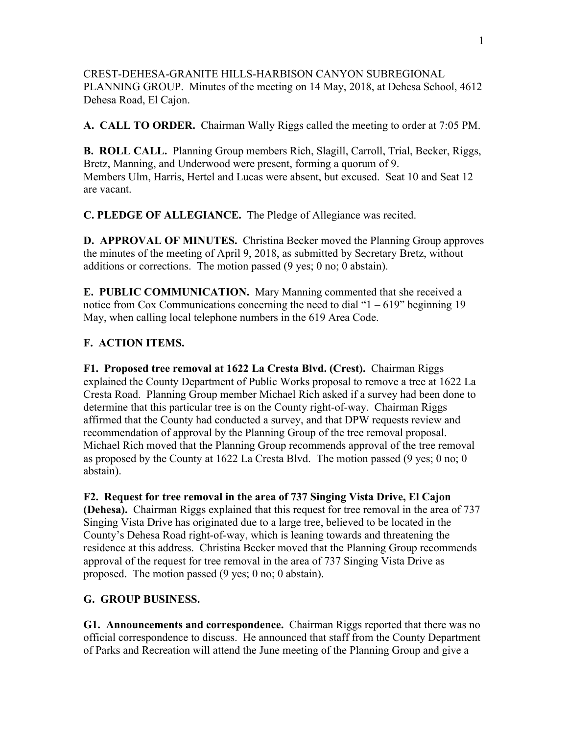CREST-DEHESA-GRANITE HILLS-HARBISON CANYON SUBREGIONAL PLANNING GROUP. Minutes of the meeting on 14 May, 2018, at Dehesa School, 4612 Dehesa Road, El Cajon.

**A. CALL TO ORDER.** Chairman Wally Riggs called the meeting to order at 7:05 PM.

**B. ROLL CALL.** Planning Group members Rich, Slagill, Carroll, Trial, Becker, Riggs, Bretz, Manning, and Underwood were present, forming a quorum of 9. Members Ulm, Harris, Hertel and Lucas were absent, but excused. Seat 10 and Seat 12 are vacant.

**C. PLEDGE OF ALLEGIANCE.** The Pledge of Allegiance was recited.

**D. APPROVAL OF MINUTES.** Christina Becker moved the Planning Group approves the minutes of the meeting of April 9, 2018, as submitted by Secretary Bretz, without additions or corrections. The motion passed (9 yes; 0 no; 0 abstain).

**E. PUBLIC COMMUNICATION.** Mary Manning commented that she received a notice from Cox Communications concerning the need to dial " $1 - 619$ " beginning 19 May, when calling local telephone numbers in the 619 Area Code.

## **F. ACTION ITEMS.**

**F1. Proposed tree removal at 1622 La Cresta Blvd. (Crest).** Chairman Riggs explained the County Department of Public Works proposal to remove a tree at 1622 La Cresta Road. Planning Group member Michael Rich asked if a survey had been done to determine that this particular tree is on the County right-of-way. Chairman Riggs affirmed that the County had conducted a survey, and that DPW requests review and recommendation of approval by the Planning Group of the tree removal proposal. Michael Rich moved that the Planning Group recommends approval of the tree removal as proposed by the County at 1622 La Cresta Blvd. The motion passed (9 yes; 0 no; 0 abstain).

**F2. Request for tree removal in the area of 737 Singing Vista Drive, El Cajon (Dehesa).** Chairman Riggs explained that this request for tree removal in the area of 737 Singing Vista Drive has originated due to a large tree, believed to be located in the County's Dehesa Road right-of-way, which is leaning towards and threatening the residence at this address. Christina Becker moved that the Planning Group recommends approval of the request for tree removal in the area of 737 Singing Vista Drive as proposed. The motion passed (9 yes; 0 no; 0 abstain).

## **G. GROUP BUSINESS.**

**G1. Announcements and correspondence.** Chairman Riggs reported that there was no official correspondence to discuss. He announced that staff from the County Department of Parks and Recreation will attend the June meeting of the Planning Group and give a